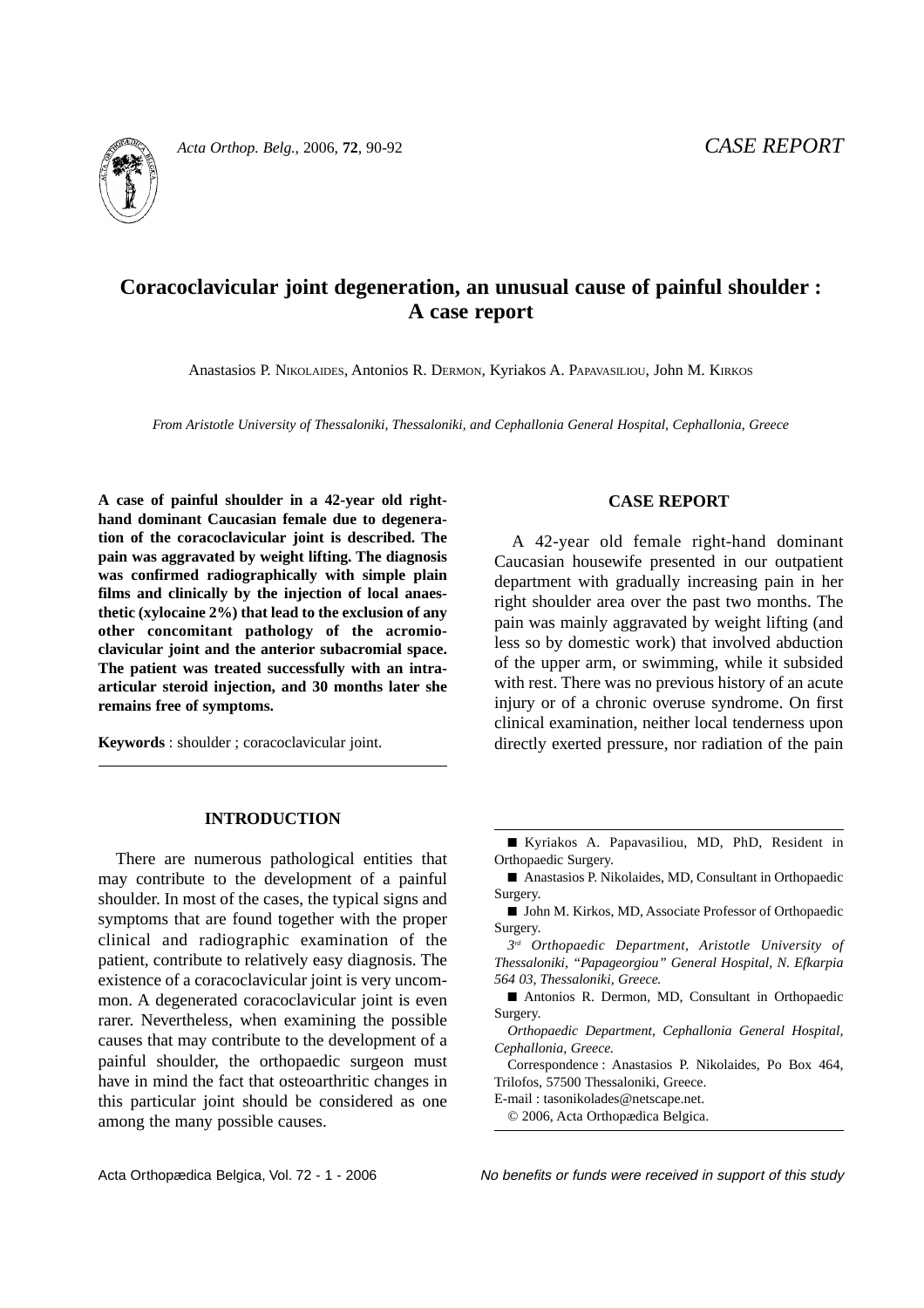

*Acta Orthop. Belg.*, 2006, **72**, 90-92 *CASE REPORT*

# **Coracoclavicular joint degeneration, an unusual cause of painful shoulder : A case report**

Anastasios P. NIKOLAIDES, Antonios R. DERMON, Kyriakos A. PAPAVASILIOU, John M. KIRKOS

*From Aristotle University of Thessaloniki, Thessaloniki, and Cephallonia General Hospital, Cephallonia, Greece*

**A case of painful shoulder in a 42-year old righthand dominant Caucasian female due to degeneration of the coracoclavicular joint is described. The pain was aggravated by weight lifting. The diagnosis was confirmed radiographically with simple plain films and clinically by the injection of local anaesthetic (xylocaine 2%) that lead to the exclusion of any other concomitant pathology of the acromioclavicular joint and the anterior subacromial space. The patient was treated successfully with an intraarticular steroid injection, and 30 months later she remains free of symptoms.**

**Keywords** : shoulder ; coracoclavicular joint.

## **CASE REPORT**

A 42-year old female right-hand dominant Caucasian housewife presented in our outpatient department with gradually increasing pain in her right shoulder area over the past two months. The pain was mainly aggravated by weight lifting (and less so by domestic work) that involved abduction of the upper arm, or swimming, while it subsided with rest. There was no previous history of an acute injury or of a chronic overuse syndrome. On first clinical examination, neither local tenderness upon directly exerted pressure, nor radiation of the pain

### **INTRODUCTION**

There are numerous pathological entities that may contribute to the development of a painful shoulder. In most of the cases, the typical signs and symptoms that are found together with the proper clinical and radiographic examination of the patient, contribute to relatively easy diagnosis. The existence of a coracoclavicular joint is very uncommon. A degenerated coracoclavicular joint is even rarer. Nevertheless, when examining the possible causes that may contribute to the development of a painful shoulder, the orthopaedic surgeon must have in mind the fact that osteoarthritic changes in this particular joint should be considered as one among the many possible causes.

■ Kyriakos A. Papavasiliou, MD, PhD, Resident in Orthopaedic Surgery.

■ Anastasios P. Nikolaides, MD, Consultant in Orthopaedic Surgery.

■ John M. Kirkos, MD, Associate Professor of Orthopaedic Surgery.

*3rd Orthopaedic Department, Aristotle University of Thessaloniki, "Papageorgiou" General Hospital, N. Efkarpia 564 03, Thessaloniki, Greece.*

■ Antonios R. Dermon, MD, Consultant in Orthopaedic Surgery.

*Orthopaedic Department, Cephallonia General Hospital, Cephallonia, Greece.*

Correspondence : Anastasios P. Nikolaides, Po Box 464, Trilofos, 57500 Thessaloniki, Greece.

E-mail : tasonikolades@netscape.net.

Acta Orthopædica Belgica, Vol. 72 - 1 - 2006 No benefits or funds were received in support of this study

<sup>© 2006,</sup> Acta Orthopædica Belgica.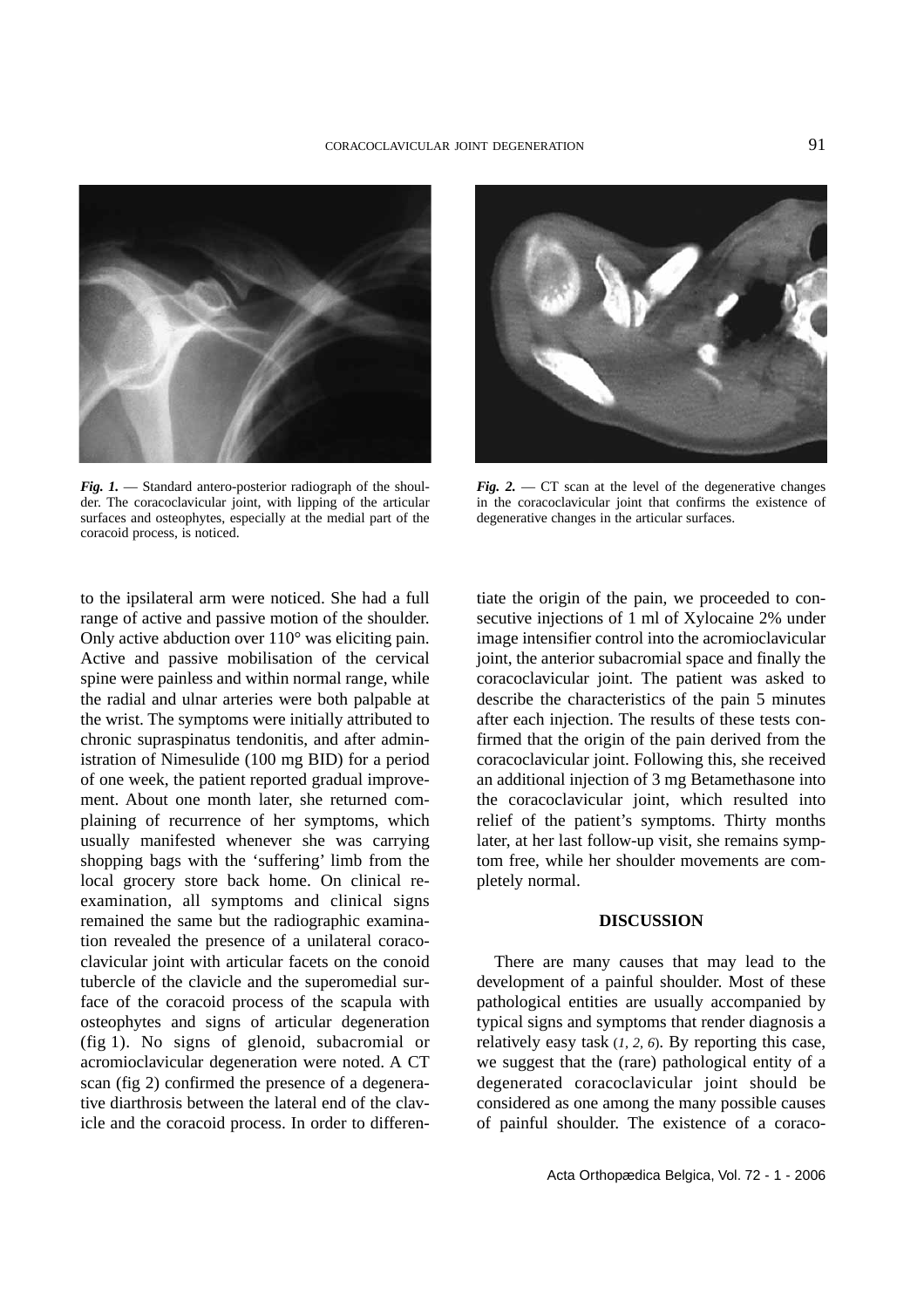

*Fig. 1.* — Standard antero-posterior radiograph of the shoulder. The coracoclavicular joint, with lipping of the articular surfaces and osteophytes, especially at the medial part of the coracoid process, is noticed.



*Fig.* 2.  $-CT$  scan at the level of the degenerative changes in the coracoclavicular joint that confirms the existence of degenerative changes in the articular surfaces.

to the ipsilateral arm were noticed. She had a full range of active and passive motion of the shoulder. Only active abduction over 110° was eliciting pain. Active and passive mobilisation of the cervical spine were painless and within normal range, while the radial and ulnar arteries were both palpable at the wrist. The symptoms were initially attributed to chronic supraspinatus tendonitis, and after administration of Nimesulide (100 mg BID) for a period of one week, the patient reported gradual improvement. About one month later, she returned complaining of recurrence of her symptoms, which usually manifested whenever she was carrying shopping bags with the 'suffering' limb from the local grocery store back home. On clinical reexamination, all symptoms and clinical signs remained the same but the radiographic examination revealed the presence of a unilateral coracoclavicular joint with articular facets on the conoid tubercle of the clavicle and the superomedial surface of the coracoid process of the scapula with osteophytes and signs of articular degeneration (fig 1). No signs of glenoid, subacromial or acromioclavicular degeneration were noted. A CT scan (fig 2) confirmed the presence of a degenerative diarthrosis between the lateral end of the clavicle and the coracoid process. In order to differen-

tiate the origin of the pain, we proceeded to consecutive injections of 1 ml of Xylocaine 2% under image intensifier control into the acromioclavicular joint, the anterior subacromial space and finally the coracoclavicular joint. The patient was asked to describe the characteristics of the pain 5 minutes after each injection. The results of these tests confirmed that the origin of the pain derived from the coracoclavicular joint. Following this, she received an additional injection of 3 mg Betamethasone into the coracoclavicular joint, which resulted into relief of the patient's symptoms. Thirty months later, at her last follow-up visit, she remains symptom free, while her shoulder movements are completely normal.

#### **DISCUSSION**

There are many causes that may lead to the development of a painful shoulder. Most of these pathological entities are usually accompanied by typical signs and symptoms that render diagnosis a relatively easy task (*1, 2, 6*). By reporting this case, we suggest that the (rare) pathological entity of a degenerated coracoclavicular joint should be considered as one among the many possible causes of painful shoulder. The existence of a coraco-